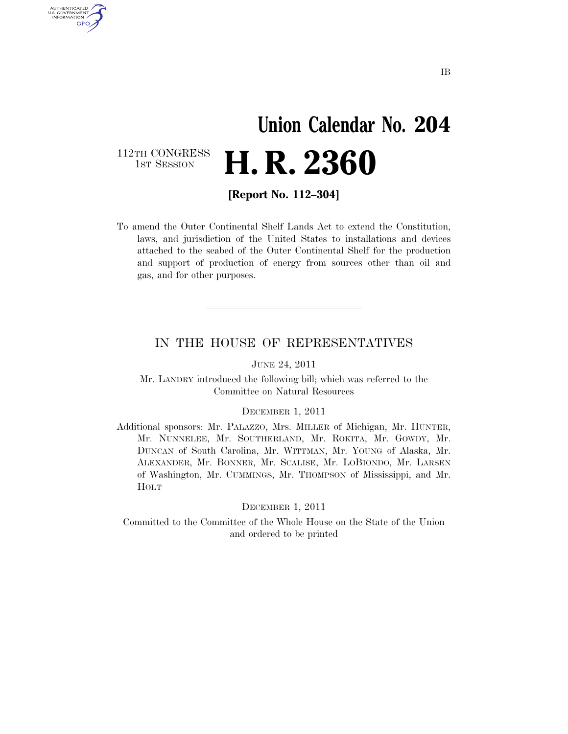# **Union Calendar No. 204**  1ST SESSION **H. R. 2360**

112TH CONGRESS<br>1st Session

U.S. GOVERNMENT GPO

**[Report No. 112–304]** 

To amend the Outer Continental Shelf Lands Act to extend the Constitution, laws, and jurisdiction of the United States to installations and devices attached to the seabed of the Outer Continental Shelf for the production and support of production of energy from sources other than oil and gas, and for other purposes.

### IN THE HOUSE OF REPRESENTATIVES

JUNE 24, 2011

Mr. LANDRY introduced the following bill; which was referred to the Committee on Natural Resources

#### DECEMBER 1, 2011

Additional sponsors: Mr. PALAZZO, Mrs. MILLER of Michigan, Mr. HUNTER, Mr. NUNNELEE, Mr. SOUTHERLAND, Mr. ROKITA, Mr. GOWDY, Mr. DUNCAN of South Carolina, Mr. WITTMAN, Mr. YOUNG of Alaska, Mr. ALEXANDER, Mr. BONNER, Mr. SCALISE, Mr. LOBIONDO, Mr. LARSEN of Washington, Mr. CUMMINGS, Mr. THOMPSON of Mississippi, and Mr. HOLT

#### DECEMBER 1, 2011

Committed to the Committee of the Whole House on the State of the Union and ordered to be printed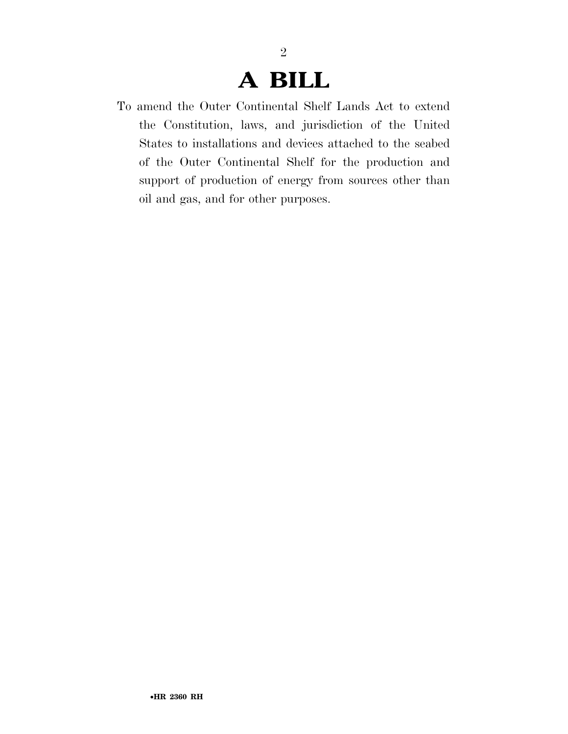### **A BILL**

2

To amend the Outer Continental Shelf Lands Act to extend the Constitution, laws, and jurisdiction of the United States to installations and devices attached to the seabed of the Outer Continental Shelf for the production and support of production of energy from sources other than oil and gas, and for other purposes.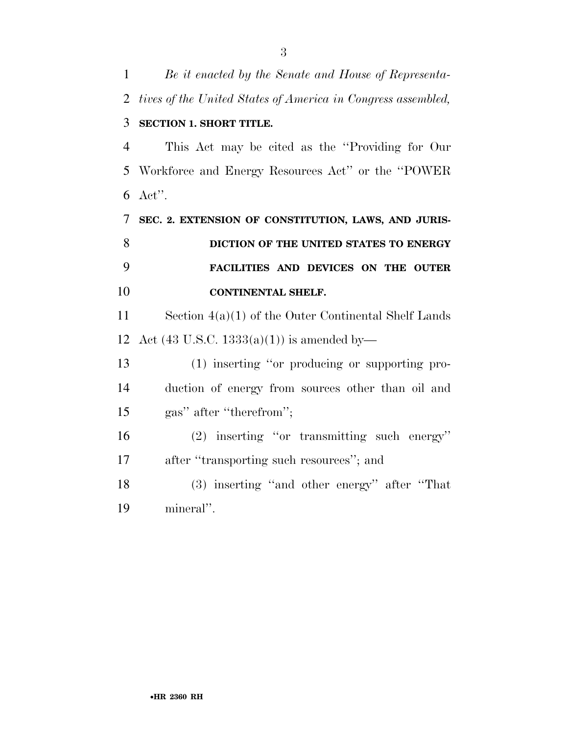| $\mathbf{1}$   | Be it enacted by the Senate and House of Representa-         |
|----------------|--------------------------------------------------------------|
| $\overline{2}$ | tives of the United States of America in Congress assembled, |
| 3              | <b>SECTION 1. SHORT TITLE.</b>                               |
| $\overline{4}$ | This Act may be cited as the "Providing for Our              |
| 5              | Workforce and Energy Resources Act" or the "POWER"           |
| 6              | $\text{Act}$ ".                                              |
| 7              | SEC. 2. EXTENSION OF CONSTITUTION, LAWS, AND JURIS-          |
| 8              | DICTION OF THE UNITED STATES TO ENERGY                       |
| 9              | FACILITIES AND DEVICES ON THE OUTER                          |
| 10             | CONTINENTAL SHELF.                                           |
| 11             | Section $4(a)(1)$ of the Outer Continental Shelf Lands       |
| 12             | Act $(43 \text{ U.S.C. } 1333(a)(1))$ is amended by-         |
| 13             | (1) inserting "or producing or supporting pro-               |
| 14             | duction of energy from sources other than oil and            |
| 15             | gas" after "therefrom";                                      |
| 16             | $(2)$ inserting "or transmitting such energy"                |
| 17             | after "transporting such resources"; and                     |
| 18             | (3) inserting "and other energy" after "That                 |
| 19             | mineral".                                                    |